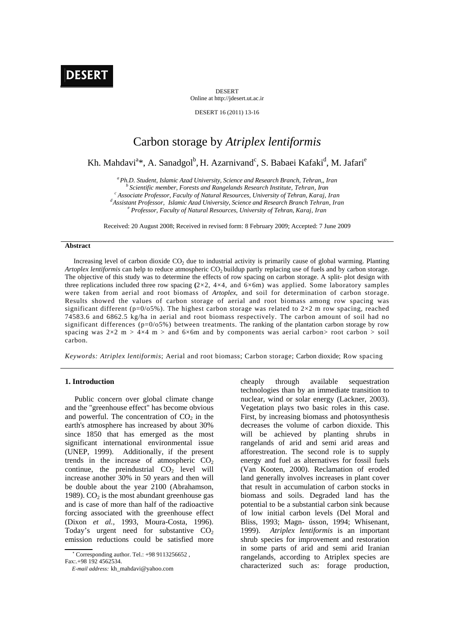

DESERT Online at http://jdesert.ut.ac.ir

DESERT 16 (2011) 13-16

# Carbon storage by *Atriplex lentiformis*

Kh. Mahdavi<sup>a</sup>\*, A. Sanadgol<sup>b</sup>, H. Azarnivand<sup>c</sup>, S. Babaei Kafaki<sup>d</sup>, M. Jafari<sup>e</sup>

*a Ph.D. Student, Islamic Azad University, Science and Research Branch, Tehran,, Iran b Scientific member, Forests and Rangelands Research Institute, Tehran, Iran c*

<sup>d</sup> Assistant Professor, Islamic Azad University, Science and Research Branch Tehran, Iran

 *Professor, Faculty of Natural Resources, University of Tehran, Karaj, Iran* 

Received: 20 August 2008; Received in revised form: 8 February 2009; Accepted: 7 June 2009

## **Abstract**

Increasing level of carbon dioxide  $CO<sub>2</sub>$  due to industrial activity is primarily cause of global warming. Planting *Artoplex lentiformis* can help to reduce atmospheric CO<sub>2</sub> buildup partly replacing use of fuels and by carbon storage. The objective of this study was to determine the effects of row spacing on carbon storage. A split- plot design with three replications included three row spacing  $(2\times2, 4\times4,$  and  $6\times6m)$  was applied. Some laboratory samples were taken from aerial and root biomass of *Artoplex*, and soil for determination of carbon storage. Results showed the values of carbon storage of aerial and root biomass among row spacing was significant different ( $p=0/05\%$ ). The highest carbon storage was related to 2×2 m row spacing, reached 74583.6 and 6862.5 kg/ha in aerial and root biomass respectively. The carbon amount of soil had no significant differences  $(p=0/05%)$  between treatments. The ranking of the plantation carbon storage by row spacing was  $2\times2$  m  $> 4\times4$  m  $>$  and 6 $\times$ 6m and by components was aerial carbon $>$  root carbon  $>$  soil carbon.

*Keywords: Atriplex lentiformis*; Aerial and root biomass; Carbon storage; Carbon dioxide; Row spacing

# **1. Introduction**

 Public concern over global climate change and the "greenhouse effect" has become obvious and powerful. The concentration of  $CO<sub>2</sub>$  in the earth's atmosphere has increased by about 30% since 1850 that has emerged as the most significant international environmental issue (UNEP, 1999). Additionally, if the present trends in the increase of atmospheric  $CO<sub>2</sub>$ continue, the preindustrial  $CO<sub>2</sub>$  level will increase another 30% in 50 years and then will be double about the year 2100 (Abrahamson, 1989).  $CO<sub>2</sub>$  is the most abundant greenhouse gas and is case of more than half of the radioactive forcing associated with the greenhouse effect (Dixon *et al.,* 1993, Moura-Costa, 1996). Today's urgent need for substantive  $CO<sub>2</sub>$ emission reductions could be satisfied more

 <sup>∗</sup> Corresponding author. Tel.: +98 9113256652 , Fax:.+98 192 4562534.

cheaply through available sequestration technologies than by an immediate transition to nuclear, wind or solar energy (Lackner, 2003). Vegetation plays two basic roles in this case. First, by increasing biomass and photosynthesis decreases the volume of carbon dioxide. This will be achieved by planting shrubs in rangelands of arid and semi arid areas and afforestreation. The second role is to supply energy and fuel as alternatives for fossil fuels (Van Kooten, 2000). Reclamation of eroded land generally involves increases in plant cover that result in accumulation of carbon stocks in biomass and soils. Degraded land has the potential to be a substantial carbon sink because of low initial carbon levels (Del Moral and Bliss, 1993; Magn- ússon, 1994; Whisenant, 1999). *Atriplex lentiformis* is an important shrub species for improvement and restoration in some parts of arid and semi arid Iranian rangelands, according to Atriplex species are characterized such as: forage production,

*E-mail address:* kh\_mahdavi@yahoo.com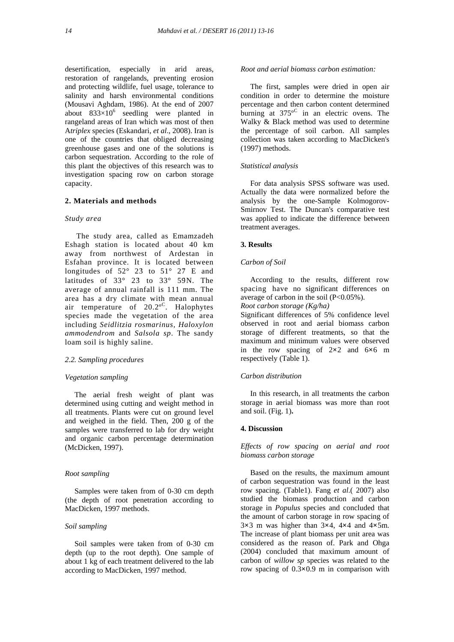desertification, especially in arid areas, restoration of rangelands, preventing erosion and protecting wildlife, fuel usage, tolerance to salinity and harsh environmental conditions (Mousavi Aghdam, 1986). At the end of 2007 about  $833\times10^{6}$  seedling were planted in rangeland areas of Iran which was most of then A*triplex* species (Eskandari, *et al*., 2008). Iran is one of the countries that obliged decreasing greenhouse gases and one of the solutions is carbon sequestration. According to the role of this plant the objectives of this research was to investigation spacing row on carbon storage capacity.

## **2. Materials and methods**

#### *Study area*

 The study area, called as Emamzadeh Eshagh station is located about 40 km away from northwest of Ardestan in Esfahan province. It is located between longitudes of  $52^{\circ}$  23 to  $51^{\circ}$  27 E and latitudes of  $33^\circ$   $23$  to  $33^\circ$   $59N$ . The average of annual rainfall is 111 mm. The area has a dry climate with mean annual air temperature of 20.2ºC. Halophytes species made the vegetation of the area including *Seidlitzia rosmarinus, Haloxylon ammodendrom* and *Salsola sp*. The sandy loam soil is highly saline.

## *2.2. Sampling procedures*

#### *Vegetation sampling*

 The aerial fresh weight of plant was determined using cutting and weight method in all treatments. Plants were cut on ground level and weighed in the field. Then, 200 g of the samples were transferred to lab for dry weight and organic carbon percentage determination (McDicken, 1997).

## *Root sampling*

 Samples were taken from of 0-30 cm depth (the depth of root penetration according to MacDicken, 1997 methods.

## *Soil sampling*

 Soil samples were taken from of 0-30 cm depth (up to the root depth). One sample of about 1 kg of each treatment delivered to the lab according to MacDicken, 1997 method.

# *Root and aerial biomass carbon estimation:*

 The first, samples were dried in open air condition in order to determine the moisture percentage and then carbon content determined burning at  $375^{\circ}$  in an electric ovens. The Walky & Black method was used to determine the percentage of soil carbon. All samples collection was taken according to MacDicken's (1997) methods.

## *Statistical analysis*

 For data analysis SPSS software was used. Actually the data were normalized before the analysis by the one-Sample Kolmogorov-Smirnov Test. The Duncan's comparative test was applied to indicate the difference between treatment averages.

#### **3. Results**

#### *Carbon of Soil*

 According to the results, different row spacing have no significant differences on average of carbon in the soil  $(P<0.05\%)$ .

*Root carbon storage (Kg/ha)* 

Significant differences of 5% confidence level observed in root and aerial biomass carbon storage of different treatments, so that the maximum and minimum values were observed in the row spacing of 2**×**2 and 6**×**6 m respectively (Table 1).

## *Carbon distribution*

 In this research, in all treatments the carbon storage in aerial biomass was more than root and soil. (Fig. 1)**.** 

## **4. Discussion**

*Effects of row spacing on aerial and root biomass carbon storage* 

 Based on the results, the maximum amount of carbon sequestration was found in the least row spacing. (Table1). Fang *et al*.( 2007) also studied the biomass production and carbon storage in *Populus* species and concluded that the amount of carbon storage in row spacing of 3**×**3 m was higher than 3**×**4, 4**×**4 and 4**×**5m. The increase of plant biomass per unit area was considered as the reason of. Park and Ohga (2004) concluded that maximum amount of carbon of *willow sp* species was related to the row spacing of 0.3**×**0.9 m in comparison with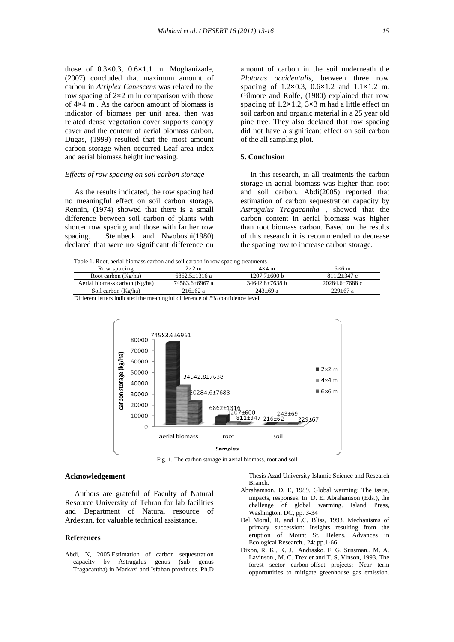those of 0.3**×**0.3, 0.6**×**1.1 m. Moghanizade, (2007) concluded that maximum amount of carbon in *Atriplex Canescens* was related to the row spacing of 2**×**2 m in comparison with those of 4**×**4 m . As the carbon amount of biomass is indicator of biomass per unit area, then was related dense vegetation cover supports canopy caver and the content of aerial biomass carbon.

Dugas, (1999) resulted that the most amount carbon storage when occurred Leaf area index and aerial biomass height increasing.

# *Effects of row spacing on soil carbon storage*

 As the results indicated, the row spacing had no meaningful effect on soil carbon storage. Rennin, (1974) showed that there is a small difference between soil carbon of plants with shorter row spacing and those with farther row spacing. Steinbeck and Nwoboshi(1980) declared that were no significant difference on

amount of carbon in the soil underneath the *Platorus occidentalis*, between three row spacing of 1.2**×**0.3, 0.6**×**1.2 and 1.1**×**1.2 m. Gilmore and Rolfe, (1980) explained that row spacing of 1.2**×**1.2, 3**×**3 m had a little effect on soil carbon and organic material in a 25 year old pine tree. They also declared that row spacing did not have a significant effect on soil carbon of the all sampling plot.

# **5. Conclusion**

 In this research, in all treatments the carbon storage in aerial biomass was higher than root and soil carbon. Abdi(2005) reported that estimation of carbon sequestration capacity by *Astragalus Tragacantha* , showed that the carbon content in aerial biomass was higher than root biomass carbon. Based on the results of this research it is recommended to decrease the spacing row to increase carbon storage.

Table 1. Root, aerial biomass carbon and soil carbon in row spacing treatments

| Tuble 1. Root, actual biomage carbon and son carbon in fow spacing treatments |                                        |                      |                |
|-------------------------------------------------------------------------------|----------------------------------------|----------------------|----------------|
| Row spacing                                                                   | $2\times2$ m                           | $4\times4$ m         | $6\times 6$ m  |
| Root carbon (Kg/ha)                                                           | $6862.5 + 1316a$                       | $1207.7 + 600 h$     | $811.2 + 347c$ |
| Aerial biomass carbon (Kg/ha)                                                 | 74583.6±6967 a                         | $34642.8 \pm 7638 b$ | 20284.6±7688 c |
| Soil carbon (Kg/ha)                                                           | $216+62a$                              | $243+69a$            | $229+67$ a     |
| $\sim$ $\sim$                                                                 | 0.1.100<br>$\sim$ $\sim$ $\sim$ $\sim$ | $\sim$               |                |

Different letters indicated the meaningful difference of 5% confidence level



Fig. 1**.** The carbon storage in aerial biomass, root and soil

#### **Acknowledgement**

 Authors are grateful of Faculty of Natural Resource University of Tehran for lab facilities and Department of Natural resource of Ardestan, for valuable technical assistance.

# **References**

Abdi, N, 2005.Estimation of carbon sequestration capacity by Astragalus genus (sub genus Tragacantha) in Markazi and Isfahan provinces. Ph.D

 Thesis Azad University Islamic.Science and Research Branch.

- Abrahamson, D. E, 1989. Global warming: The issue, impacts, responses. In: D. E. Abrahamson (Eds.), the challenge of global warming. Island Press, Washington, DC, pp. 3-34
- Del Moral, R. and L.C. Bliss, 1993. Mechanisms of primary succession: Insights resulting from the eruption of Mount St. Helens. Advances in Ecological Research., 24: pp.1-66.
- Dixon, R. K., K. J. Andrasko. F. G. Sussman., M. A. Lavinson., M. C. Trexler and T. S, Vinson, 1993. The forest sector carbon-offset projects: Near term opportunities to mitigate greenhouse gas emission.